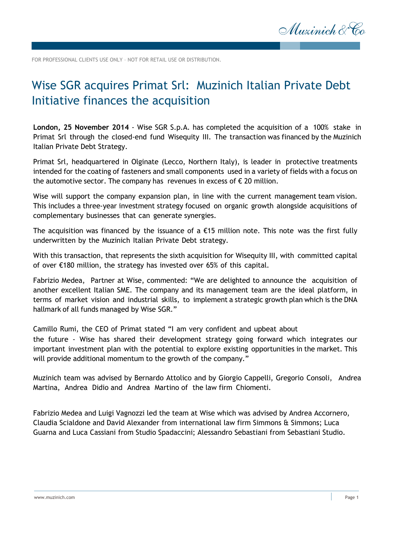

FOR PROFESSIONAL CLIENTS USE ONLY – NOT FOR RETAIL USE OR DISTRIBUTION.

## Wise SGR acquires Primat Srl: Muzinich Italian Private Debt Initiative finances the acquisition

**London, 25 November 2014** - Wise SGR S.p.A. has completed the acquisition of a 100% stake in Primat Srl through the closed-end fund Wisequity III. The transaction was financed by the Muzinich Italian Private Debt Strategy.

Primat Srl, headquartered in Olginate (Lecco, Northern Italy), is leader in protective treatments intended for the coating of fasteners and small components used in a variety of fields with a focus on the automotive sector. The company has revenues in excess of  $\epsilon$  20 million.

Wise will support the company expansion plan, in line with the current management team vision. This includes a three-year investment strategy focused on organic growth alongside acquisitions of complementary businesses that can generate synergies.

The acquisition was financed by the issuance of a  $E15$  million note. This note was the first fully underwritten by the Muzinich Italian Private Debt strategy.

With this transaction, that represents the sixth acquisition for Wisequity III, with committed capital of over €180 million, the strategy has invested over 65% of this capital.

Fabrizio Medea, Partner at Wise, commented: "We are delighted to announce the acquisition of another excellent Italian SME. The company and its management team are the ideal platform, in terms of market vision and industrial skills, to implement a strategic growth plan which is the DNA hallmark of all funds managed by Wise SGR."

Camillo Rumi, the CEO of Primat stated "I am very confident and upbeat about the future - Wise has shared their development strategy going forward which integrates our important investment plan with the potential to explore existing opportunities in the market. This will provide additional momentum to the growth of the company."

Muzinich team was advised by Bernardo Attolico and by Giorgio Cappelli, Gregorio Consoli, Andrea Martina, Andrea Didio and Andrea Martino of the law firm Chiomenti.

Fabrizio Medea and Luigi Vagnozzi led the team at Wise which was advised by Andrea Accornero, Claudia Scialdone and David Alexander from international law firm Simmons & Simmons; Luca Guarna and Luca Cassiani from Studio Spadaccini; Alessandro Sebastiani from Sebastiani Studio.